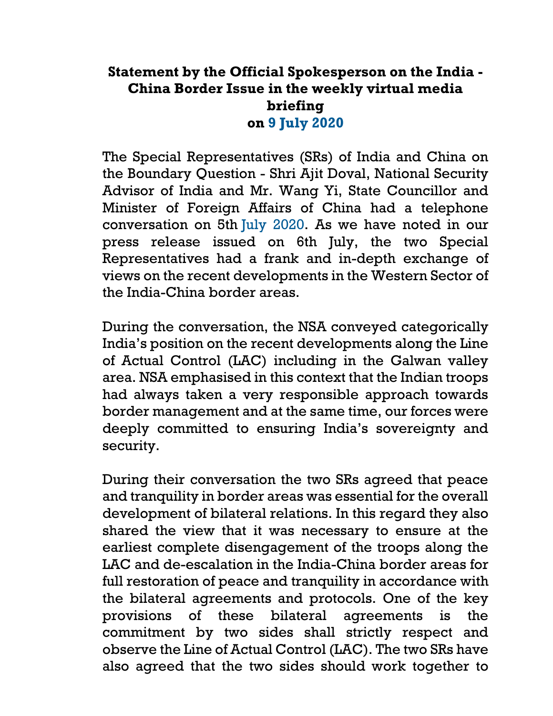## **Statement by the Official Spokesperson on the India - China Border Issue in the weekly virtual media briefing on 9 July 2020**

The Special Representatives (SRs) of India and China on the Boundary Question - Shri Ajit Doval, National Security Advisor of India and Mr. Wang Yi, State Councillor and Minister of Foreign Affairs of China had a telephone conversation on 5th July 2020. As we have noted in our press release issued on 6th July, the two Special Representatives had a frank and in-depth exchange of views on the recent developments in the Western Sector of the India-China border areas.

During the conversation, the NSA conveyed categorically India's position on the recent developments along the Line of Actual Control (LAC) including in the Galwan valley area. NSA emphasised in this context that the Indian troops had always taken a very responsible approach towards border management and at the same time, our forces were deeply committed to ensuring India's sovereignty and security.

During their conversation the two SRs agreed that peace and tranquility in border areas was essential for the overall development of bilateral relations. In this regard they also shared the view that it was necessary to ensure at the earliest complete disengagement of the troops along the LAC and de-escalation in the India-China border areas for full restoration of peace and tranquility in accordance with the bilateral agreements and protocols. One of the key provisions of these bilateral agreements is the commitment by two sides shall strictly respect and observe the Line of Actual Control (LAC). The two SRs have also agreed that the two sides should work together to